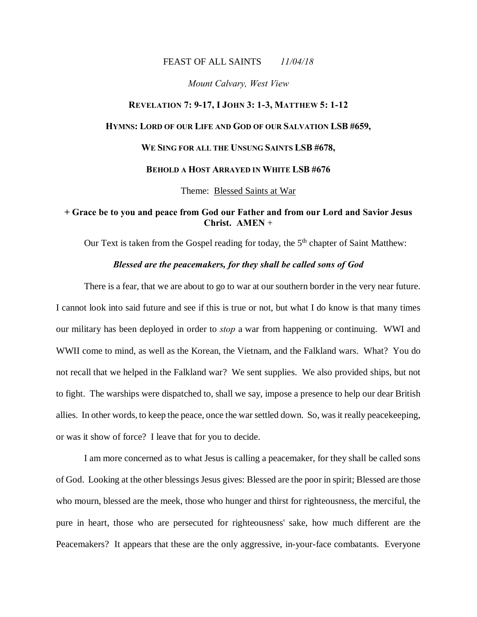#### FEAST OF ALL SAINTS *11/04/18*

#### *Mount Calvary, West View*

# **REVELATION 7: 9-17, I JOHN 3: 1-3, MATTHEW 5: 1-12 HYMNS: LORD OF OUR LIFE AND GOD OF OUR SALVATION LSB #659, WE SING FOR ALL THE UNSUNG SAINTS LSB #678, BEHOLD A HOST ARRAYED IN WHITE LSB #676**

Theme: Blessed Saints at War

### **+ Grace be to you and peace from God our Father and from our Lord and Savior Jesus Christ. AMEN** +

Our Text is taken from the Gospel reading for today, the  $5<sup>th</sup>$  chapter of Saint Matthew:

#### *Blessed are the peacemakers, for they shall be called sons of God*

There is a fear, that we are about to go to war at our southern border in the very near future. I cannot look into said future and see if this is true or not, but what I do know is that many times our military has been deployed in order to *stop* a war from happening or continuing. WWI and WWII come to mind, as well as the Korean, the Vietnam, and the Falkland wars. What? You do not recall that we helped in the Falkland war? We sent supplies. We also provided ships, but not to fight. The warships were dispatched to, shall we say, impose a presence to help our dear British allies. In other words, to keep the peace, once the war settled down. So, was it really peacekeeping, or was it show of force? I leave that for you to decide.

I am more concerned as to what Jesus is calling a peacemaker, for they shall be called sons of God. Looking at the other blessings Jesus gives: Blessed are the poor in spirit; Blessed are those who mourn, blessed are the meek, those who hunger and thirst for righteousness, the merciful, the pure in heart, those who are persecuted for righteousness' sake, how much different are the Peacemakers? It appears that these are the only aggressive, in-your-face combatants. Everyone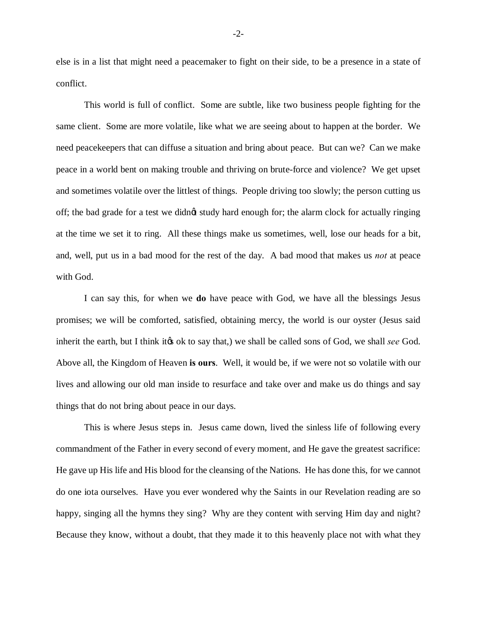else is in a list that might need a peacemaker to fight on their side, to be a presence in a state of conflict.

This world is full of conflict. Some are subtle, like two business people fighting for the same client. Some are more volatile, like what we are seeing about to happen at the border. We need peacekeepers that can diffuse a situation and bring about peace. But can we? Can we make peace in a world bent on making trouble and thriving on brute-force and violence? We get upset and sometimes volatile over the littlest of things. People driving too slowly; the person cutting us off; the bad grade for a test we didnet study hard enough for; the alarm clock for actually ringing at the time we set it to ring. All these things make us sometimes, well, lose our heads for a bit, and, well, put us in a bad mood for the rest of the day. A bad mood that makes us *not* at peace with God.

I can say this, for when we **do** have peace with God, we have all the blessings Jesus promises; we will be comforted, satisfied, obtaining mercy, the world is our oyster (Jesus said inherit the earth, but I think it's ok to say that,) we shall be called sons of God, we shall *see* God. Above all, the Kingdom of Heaven **is ours**. Well, it would be, if we were not so volatile with our lives and allowing our old man inside to resurface and take over and make us do things and say things that do not bring about peace in our days.

This is where Jesus steps in. Jesus came down, lived the sinless life of following every commandment of the Father in every second of every moment, and He gave the greatest sacrifice: He gave up His life and His blood for the cleansing of the Nations. He has done this, for we cannot do one iota ourselves. Have you ever wondered why the Saints in our Revelation reading are so happy, singing all the hymns they sing? Why are they content with serving Him day and night? Because they know, without a doubt, that they made it to this heavenly place not with what they